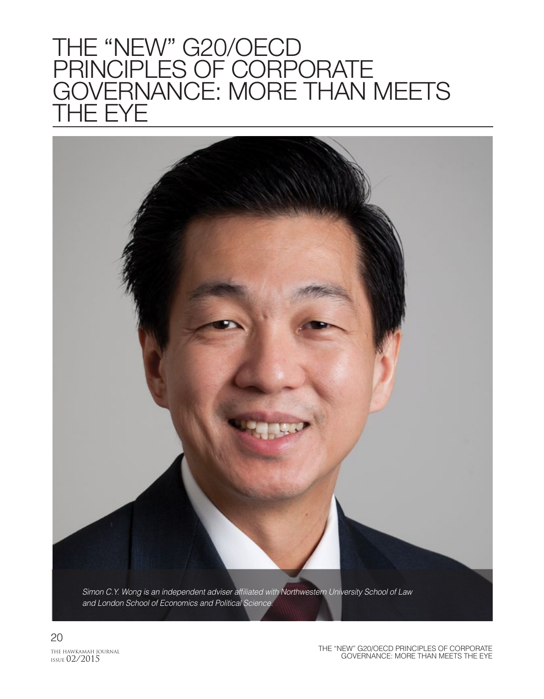## THE "NEW" G20/OECD PRINCIPLES OF CORPORATE GOVERNANCE: MORE THAN MEETS **HE EYE**



20 THE HAWKAMAH JOURNAL ISSUE 02/2015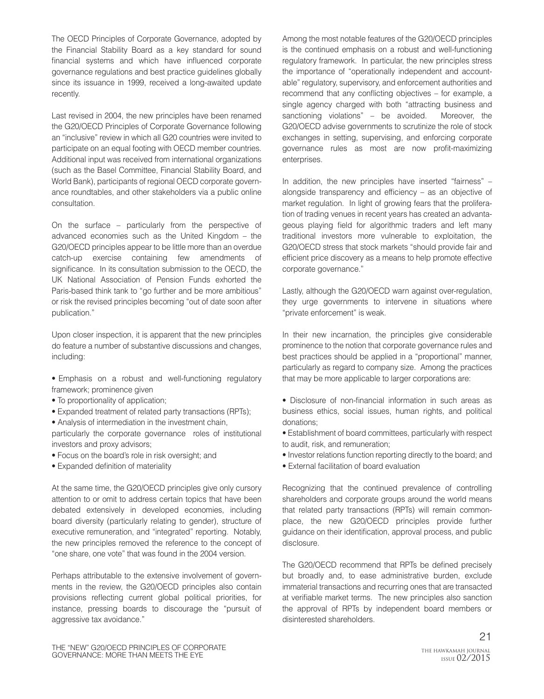The OECD Principles of Corporate Governance, adopted by the Financial Stability Board as a key standard for sound financial systems and which have influenced corporate governance regulations and best practice guidelines globally since its issuance in 1999, received a long-awaited update recently.

Last revised in 2004, the new principles have been renamed the G20/OECD Principles of Corporate Governance following an "inclusive" review in which all G20 countries were invited to participate on an equal footing with OECD member countries. Additional input was received from international organizations (such as the Basel Committee, Financial Stability Board, and World Bank), participants of regional OECD corporate governance roundtables, and other stakeholders via a public online consultation.

On the surface – particularly from the perspective of advanced economies such as the United Kingdom – the G20/OECD principles appear to be little more than an overdue catch-up exercise containing few amendments of significance. In its consultation submission to the OECD, the UK National Association of Pension Funds exhorted the Paris-based think tank to "go further and be more ambitious" or risk the revised principles becoming "out of date soon after publication."

Upon closer inspection, it is apparent that the new principles do feature a number of substantive discussions and changes, including:

- Emphasis on a robust and well-functioning regulatory framework; prominence given
- To proportionality of application;
- Expanded treatment of related party transactions (RPTs);
- Analysis of intermediation in the investment chain,

particularly the corporate governance roles of institutional investors and proxy advisors;

- Focus on the board's role in risk oversight; and
- Expanded definition of materiality

At the same time, the G20/OECD principles give only cursory attention to or omit to address certain topics that have been debated extensively in developed economies, including board diversity (particularly relating to gender), structure of executive remuneration, and "integrated" reporting. Notably, the new principles removed the reference to the concept of "one share, one vote" that was found in the 2004 version.

Perhaps attributable to the extensive involvement of governments in the review, the G20/OECD principles also contain provisions reflecting current global political priorities, for instance, pressing boards to discourage the "pursuit of aggressive tax avoidance."

Among the most notable features of the G20/OECD principles is the continued emphasis on a robust and well-functioning regulatory framework. In particular, the new principles stress the importance of "operationally independent and accountable" regulatory, supervisory, and enforcement authorities and recommend that any conflicting objectives – for example, a single agency charged with both "attracting business and sanctioning violations" – be avoided. Moreover, the G20/OECD advise governments to scrutinize the role of stock exchanges in setting, supervising, and enforcing corporate governance rules as most are now profit-maximizing enterprises.

In addition, the new principles have inserted "fairness" – alongside transparency and efficiency – as an objective of market regulation. In light of growing fears that the proliferation of trading venues in recent years has created an advantageous playing field for algorithmic traders and left many traditional investors more vulnerable to exploitation, the G20/OECD stress that stock markets "should provide fair and efficient price discovery as a means to help promote effective corporate governance."

Lastly, although the G20/OECD warn against over-regulation, they urge governments to intervene in situations where "private enforcement" is weak.

In their new incarnation, the principles give considerable prominence to the notion that corporate governance rules and best practices should be applied in a "proportional" manner, particularly as regard to company size. Among the practices that may be more applicable to larger corporations are:

- Disclosure of non-financial information in such areas as business ethics, social issues, human rights, and political donations;
- Establishment of board committees, particularly with respect to audit, risk, and remuneration;
- Investor relations function reporting directly to the board; and
- External facilitation of board evaluation

Recognizing that the continued prevalence of controlling shareholders and corporate groups around the world means that related party transactions (RPTs) will remain commonplace, the new G20/OECD principles provide further guidance on their identification, approval process, and public disclosure.

The G20/OECD recommend that RPTs be defined precisely but broadly and, to ease administrative burden, exclude immaterial transactions and recurring ones that are transacted at verifiable market terms. The new principles also sanction the approval of RPTs by independent board members or disinterested shareholders.